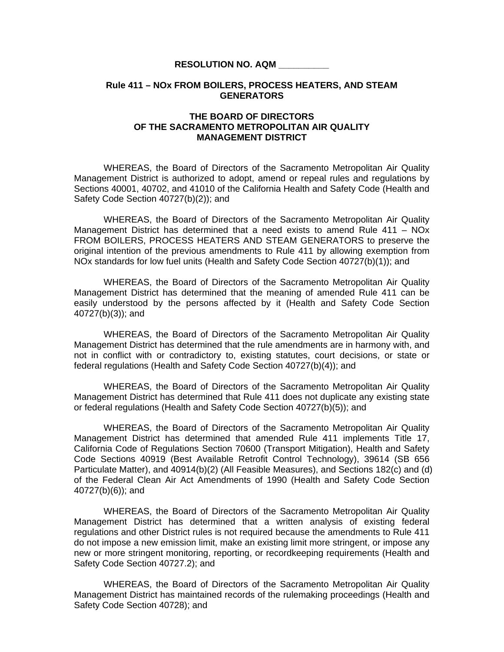## **RESOLUTION NO. AQM \_\_\_\_\_\_\_\_\_\_**

## **Rule 411 – NOx FROM BOILERS, PROCESS HEATERS, AND STEAM GENERATORS**

## **THE BOARD OF DIRECTORS OF THE SACRAMENTO METROPOLITAN AIR QUALITY MANAGEMENT DISTRICT**

 WHEREAS, the Board of Directors of the Sacramento Metropolitan Air Quality Management District is authorized to adopt, amend or repeal rules and regulations by Sections 40001, 40702, and 41010 of the California Health and Safety Code (Health and Safety Code Section 40727(b)(2)); and

WHEREAS, the Board of Directors of the Sacramento Metropolitan Air Quality Management District has determined that a need exists to amend Rule 411 – NOx FROM BOILERS, PROCESS HEATERS AND STEAM GENERATORS to preserve the original intention of the previous amendments to Rule 411 by allowing exemption from NOx standards for low fuel units (Health and Safety Code Section 40727(b)(1)); and

 WHEREAS, the Board of Directors of the Sacramento Metropolitan Air Quality Management District has determined that the meaning of amended Rule 411 can be easily understood by the persons affected by it (Health and Safety Code Section 40727(b)(3)); and

 WHEREAS, the Board of Directors of the Sacramento Metropolitan Air Quality Management District has determined that the rule amendments are in harmony with, and not in conflict with or contradictory to, existing statutes, court decisions, or state or federal regulations (Health and Safety Code Section 40727(b)(4)); and

 WHEREAS, the Board of Directors of the Sacramento Metropolitan Air Quality Management District has determined that Rule 411 does not duplicate any existing state or federal regulations (Health and Safety Code Section 40727(b)(5)); and

 WHEREAS, the Board of Directors of the Sacramento Metropolitan Air Quality Management District has determined that amended Rule 411 implements Title 17, California Code of Regulations Section 70600 (Transport Mitigation), Health and Safety Code Sections 40919 (Best Available Retrofit Control Technology), 39614 (SB 656 Particulate Matter), and 40914(b)(2) (All Feasible Measures), and Sections 182(c) and (d) of the Federal Clean Air Act Amendments of 1990 (Health and Safety Code Section 40727(b)(6)); and

WHEREAS, the Board of Directors of the Sacramento Metropolitan Air Quality Management District has determined that a written analysis of existing federal regulations and other District rules is not required because the amendments to Rule 411 do not impose a new emission limit, make an existing limit more stringent, or impose any new or more stringent monitoring, reporting, or recordkeeping requirements (Health and Safety Code Section 40727.2); and

WHEREAS, the Board of Directors of the Sacramento Metropolitan Air Quality Management District has maintained records of the rulemaking proceedings (Health and Safety Code Section 40728); and